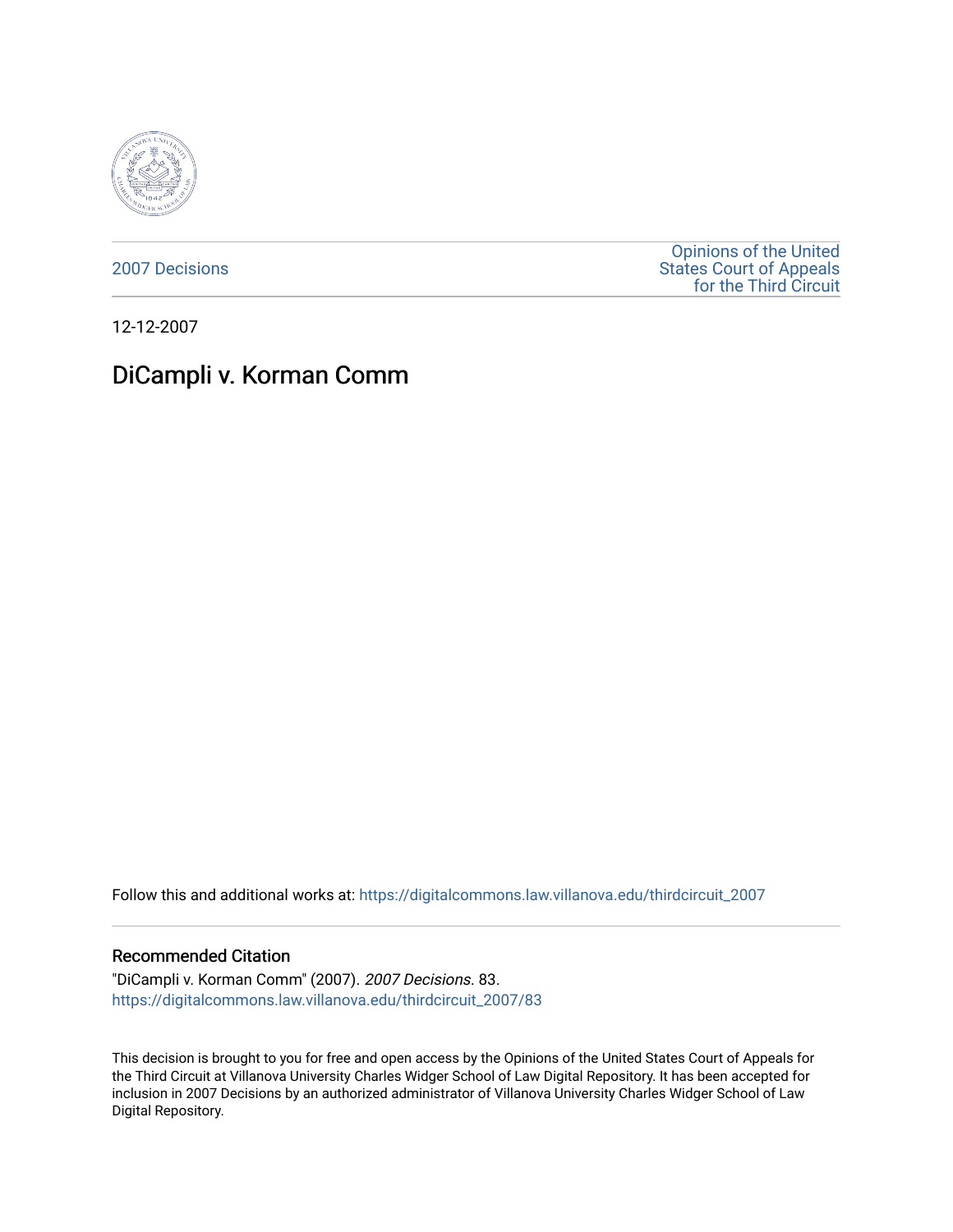

[2007 Decisions](https://digitalcommons.law.villanova.edu/thirdcircuit_2007)

[Opinions of the United](https://digitalcommons.law.villanova.edu/thirdcircuit)  [States Court of Appeals](https://digitalcommons.law.villanova.edu/thirdcircuit)  [for the Third Circuit](https://digitalcommons.law.villanova.edu/thirdcircuit) 

12-12-2007

# DiCampli v. Korman Comm

Follow this and additional works at: [https://digitalcommons.law.villanova.edu/thirdcircuit\\_2007](https://digitalcommons.law.villanova.edu/thirdcircuit_2007?utm_source=digitalcommons.law.villanova.edu%2Fthirdcircuit_2007%2F83&utm_medium=PDF&utm_campaign=PDFCoverPages) 

#### Recommended Citation

"DiCampli v. Korman Comm" (2007). 2007 Decisions. 83. [https://digitalcommons.law.villanova.edu/thirdcircuit\\_2007/83](https://digitalcommons.law.villanova.edu/thirdcircuit_2007/83?utm_source=digitalcommons.law.villanova.edu%2Fthirdcircuit_2007%2F83&utm_medium=PDF&utm_campaign=PDFCoverPages)

This decision is brought to you for free and open access by the Opinions of the United States Court of Appeals for the Third Circuit at Villanova University Charles Widger School of Law Digital Repository. It has been accepted for inclusion in 2007 Decisions by an authorized administrator of Villanova University Charles Widger School of Law Digital Repository.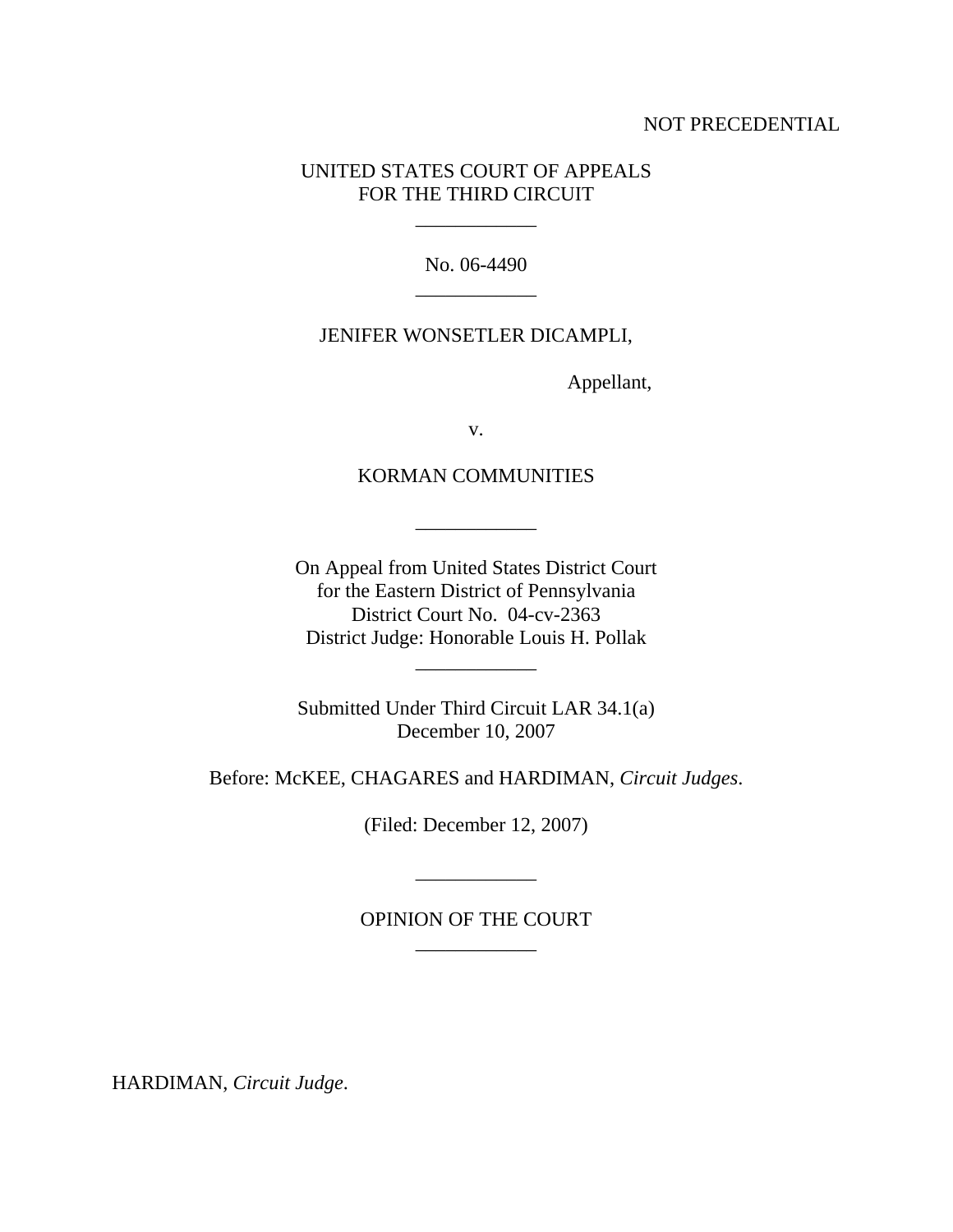#### NOT PRECEDENTIAL

### UNITED STATES COURT OF APPEALS FOR THE THIRD CIRCUIT

 $\mathcal{L}=\mathcal{L}^{\mathcal{L}}$ 

No. 06-4490 \_\_\_\_\_\_\_\_\_\_\_\_

#### JENIFER WONSETLER DICAMPLI,

Appellant,

v.

### KORMAN COMMUNITIES

\_\_\_\_\_\_\_\_\_\_\_\_

On Appeal from United States District Court for the Eastern District of Pennsylvania District Court No. 04-cv-2363 District Judge: Honorable Louis H. Pollak

\_\_\_\_\_\_\_\_\_\_\_\_

Submitted Under Third Circuit LAR 34.1(a) December 10, 2007

Before: McKEE, CHAGARES and HARDIMAN, *Circuit Judges*.

(Filed: December 12, 2007)

## OPINION OF THE COURT \_\_\_\_\_\_\_\_\_\_\_\_

\_\_\_\_\_\_\_\_\_\_\_\_

HARDIMAN, *Circuit Judge*.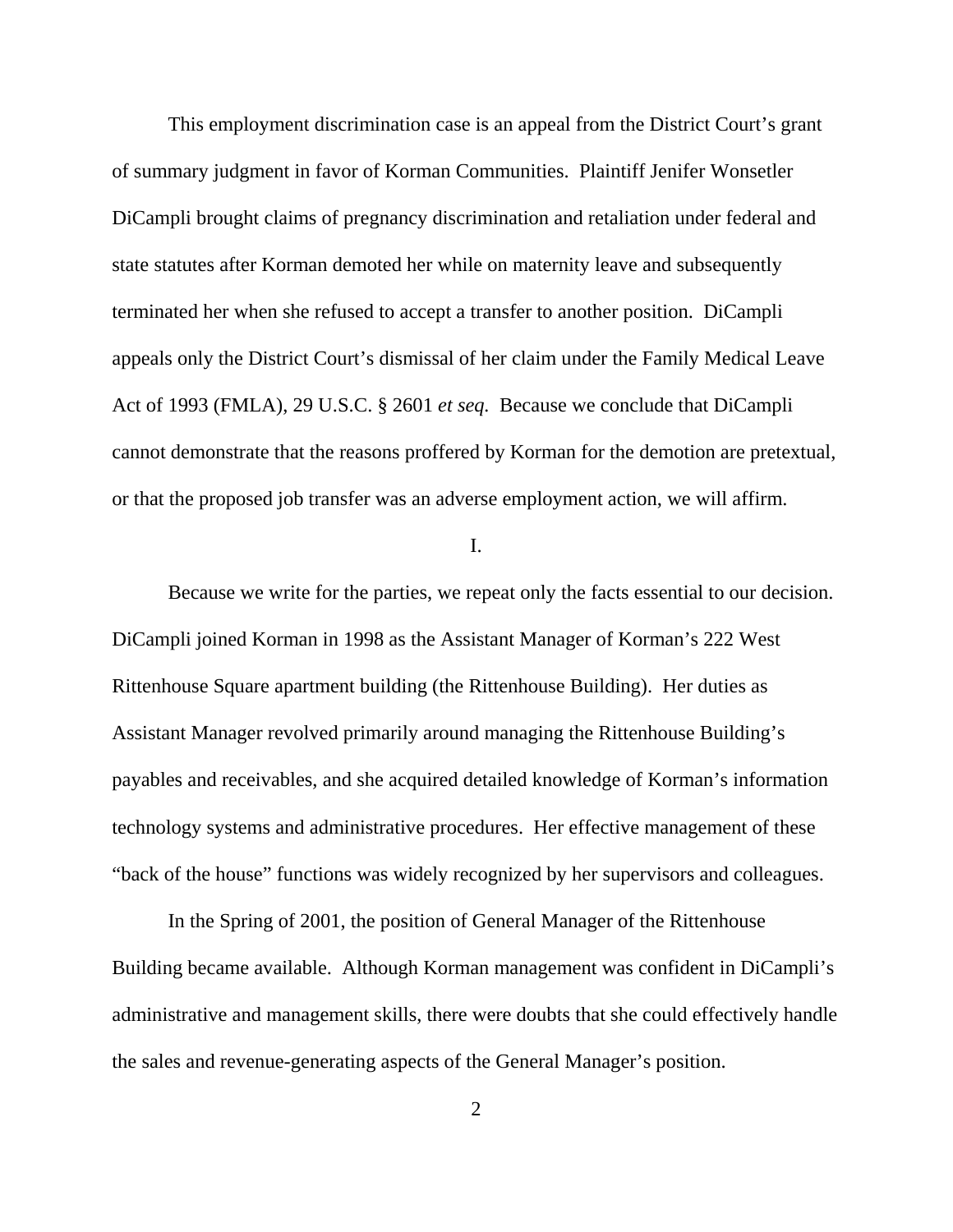This employment discrimination case is an appeal from the District Court's grant of summary judgment in favor of Korman Communities. Plaintiff Jenifer Wonsetler DiCampli brought claims of pregnancy discrimination and retaliation under federal and state statutes after Korman demoted her while on maternity leave and subsequently terminated her when she refused to accept a transfer to another position. DiCampli appeals only the District Court's dismissal of her claim under the Family Medical Leave Act of 1993 (FMLA), 29 U.S.C. § 2601 *et seq.* Because we conclude that DiCampli cannot demonstrate that the reasons proffered by Korman for the demotion are pretextual, or that the proposed job transfer was an adverse employment action, we will affirm.

I.

Because we write for the parties, we repeat only the facts essential to our decision. DiCampli joined Korman in 1998 as the Assistant Manager of Korman's 222 West Rittenhouse Square apartment building (the Rittenhouse Building). Her duties as Assistant Manager revolved primarily around managing the Rittenhouse Building's payables and receivables, and she acquired detailed knowledge of Korman's information technology systems and administrative procedures. Her effective management of these "back of the house" functions was widely recognized by her supervisors and colleagues.

In the Spring of 2001, the position of General Manager of the Rittenhouse Building became available. Although Korman management was confident in DiCampli's administrative and management skills, there were doubts that she could effectively handle the sales and revenue-generating aspects of the General Manager's position.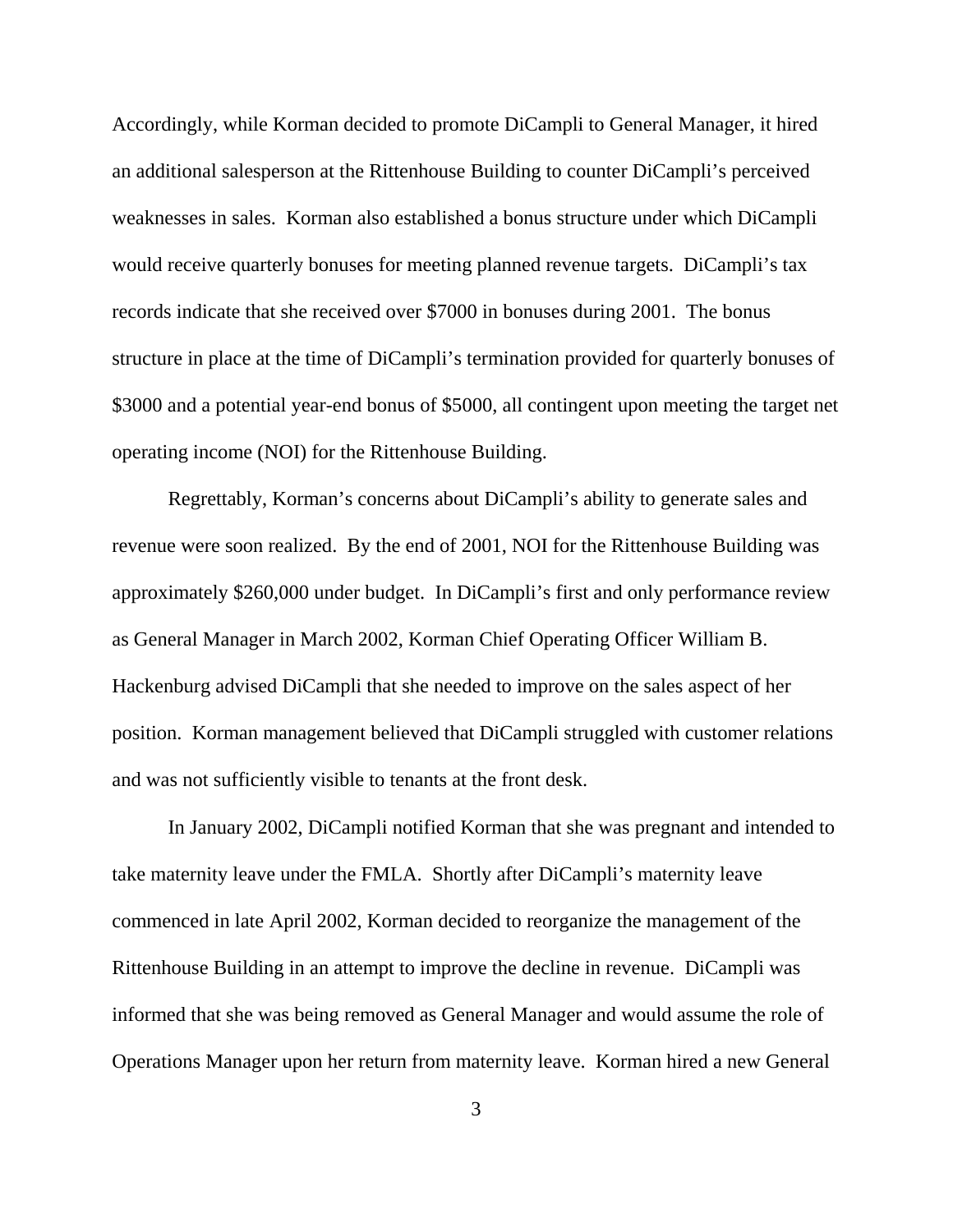Accordingly, while Korman decided to promote DiCampli to General Manager, it hired an additional salesperson at the Rittenhouse Building to counter DiCampli's perceived weaknesses in sales. Korman also established a bonus structure under which DiCampli would receive quarterly bonuses for meeting planned revenue targets. DiCampli's tax records indicate that she received over \$7000 in bonuses during 2001. The bonus structure in place at the time of DiCampli's termination provided for quarterly bonuses of \$3000 and a potential year-end bonus of \$5000, all contingent upon meeting the target net operating income (NOI) for the Rittenhouse Building.

Regrettably, Korman's concerns about DiCampli's ability to generate sales and revenue were soon realized. By the end of 2001, NOI for the Rittenhouse Building was approximately \$260,000 under budget. In DiCampli's first and only performance review as General Manager in March 2002, Korman Chief Operating Officer William B. Hackenburg advised DiCampli that she needed to improve on the sales aspect of her position. Korman management believed that DiCampli struggled with customer relations and was not sufficiently visible to tenants at the front desk.

In January 2002, DiCampli notified Korman that she was pregnant and intended to take maternity leave under the FMLA. Shortly after DiCampli's maternity leave commenced in late April 2002, Korman decided to reorganize the management of the Rittenhouse Building in an attempt to improve the decline in revenue. DiCampli was informed that she was being removed as General Manager and would assume the role of Operations Manager upon her return from maternity leave. Korman hired a new General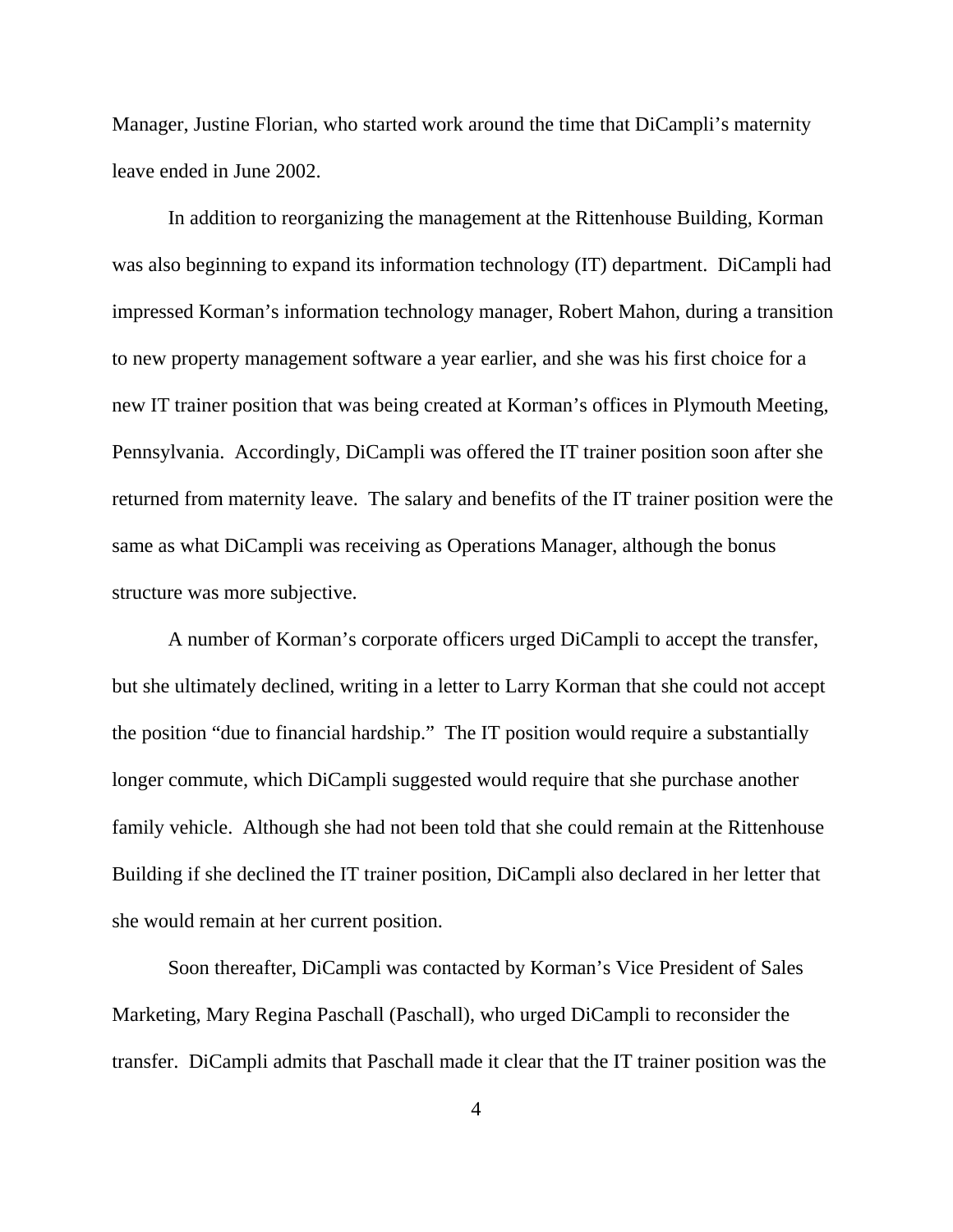Manager, Justine Florian, who started work around the time that DiCampli's maternity leave ended in June 2002.

In addition to reorganizing the management at the Rittenhouse Building, Korman was also beginning to expand its information technology (IT) department. DiCampli had impressed Korman's information technology manager, Robert Mahon, during a transition to new property management software a year earlier, and she was his first choice for a new IT trainer position that was being created at Korman's offices in Plymouth Meeting, Pennsylvania. Accordingly, DiCampli was offered the IT trainer position soon after she returned from maternity leave. The salary and benefits of the IT trainer position were the same as what DiCampli was receiving as Operations Manager, although the bonus structure was more subjective.

A number of Korman's corporate officers urged DiCampli to accept the transfer, but she ultimately declined, writing in a letter to Larry Korman that she could not accept the position "due to financial hardship." The IT position would require a substantially longer commute, which DiCampli suggested would require that she purchase another family vehicle. Although she had not been told that she could remain at the Rittenhouse Building if she declined the IT trainer position, DiCampli also declared in her letter that she would remain at her current position.

Soon thereafter, DiCampli was contacted by Korman's Vice President of Sales Marketing, Mary Regina Paschall (Paschall), who urged DiCampli to reconsider the transfer. DiCampli admits that Paschall made it clear that the IT trainer position was the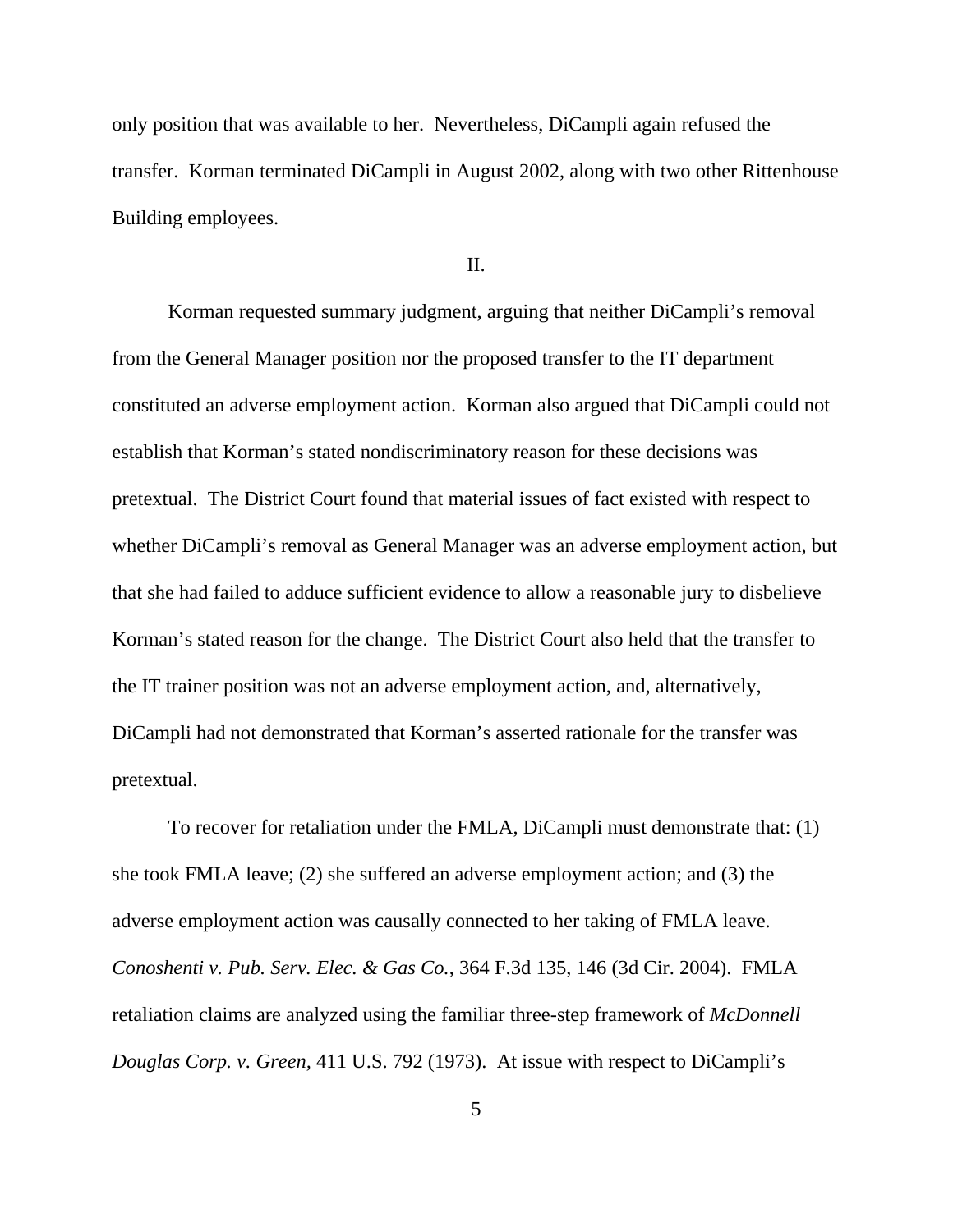only position that was available to her. Nevertheless, DiCampli again refused the transfer. Korman terminated DiCampli in August 2002, along with two other Rittenhouse Building employees.

II.

Korman requested summary judgment, arguing that neither DiCampli's removal from the General Manager position nor the proposed transfer to the IT department constituted an adverse employment action. Korman also argued that DiCampli could not establish that Korman's stated nondiscriminatory reason for these decisions was pretextual. The District Court found that material issues of fact existed with respect to whether DiCampli's removal as General Manager was an adverse employment action, but that she had failed to adduce sufficient evidence to allow a reasonable jury to disbelieve Korman's stated reason for the change. The District Court also held that the transfer to the IT trainer position was not an adverse employment action, and, alternatively, DiCampli had not demonstrated that Korman's asserted rationale for the transfer was pretextual.

To recover for retaliation under the FMLA, DiCampli must demonstrate that: (1) she took FMLA leave; (2) she suffered an adverse employment action; and (3) the adverse employment action was causally connected to her taking of FMLA leave. *Conoshenti v. Pub. Serv. Elec. & Gas Co.*, 364 F.3d 135, 146 (3d Cir. 2004). FMLA retaliation claims are analyzed using the familiar three-step framework of *McDonnell Douglas Corp. v. Green,* 411 U.S. 792 (1973). At issue with respect to DiCampli's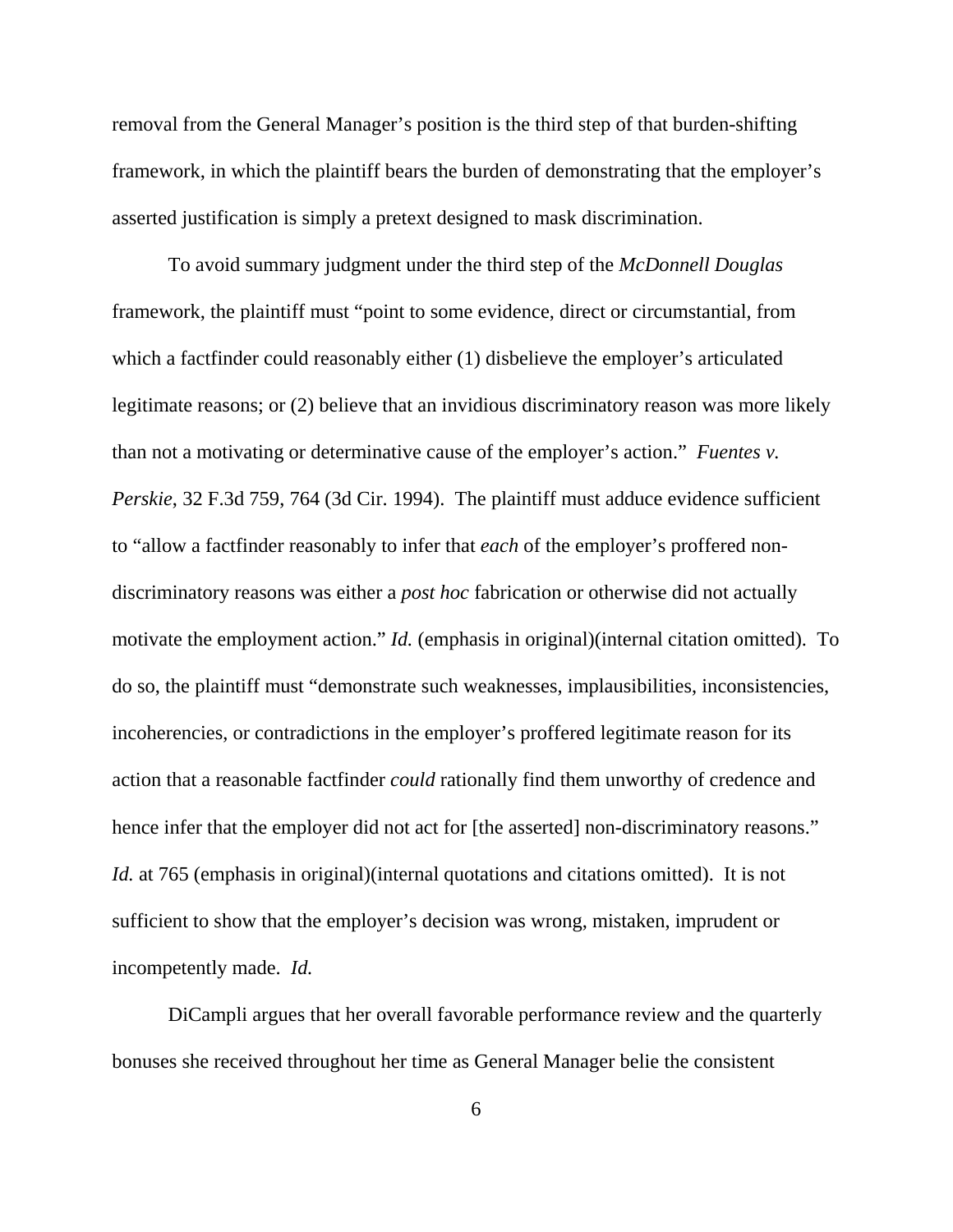removal from the General Manager's position is the third step of that burden-shifting framework, in which the plaintiff bears the burden of demonstrating that the employer's asserted justification is simply a pretext designed to mask discrimination.

To avoid summary judgment under the third step of the *McDonnell Douglas* framework, the plaintiff must "point to some evidence, direct or circumstantial, from which a factfinder could reasonably either (1) disbelieve the employer's articulated legitimate reasons; or (2) believe that an invidious discriminatory reason was more likely than not a motivating or determinative cause of the employer's action." *Fuentes v. Perskie*, 32 F.3d 759, 764 (3d Cir. 1994). The plaintiff must adduce evidence sufficient to "allow a factfinder reasonably to infer that *each* of the employer's proffered nondiscriminatory reasons was either a *post hoc* fabrication or otherwise did not actually motivate the employment action." *Id.* (emphasis in original)(internal citation omitted). To do so, the plaintiff must "demonstrate such weaknesses, implausibilities, inconsistencies, incoherencies, or contradictions in the employer's proffered legitimate reason for its action that a reasonable factfinder *could* rationally find them unworthy of credence and hence infer that the employer did not act for [the asserted] non-discriminatory reasons." *Id.* at 765 (emphasis in original)(internal quotations and citations omitted). It is not sufficient to show that the employer's decision was wrong, mistaken, imprudent or incompetently made. *Id.*

DiCampli argues that her overall favorable performance review and the quarterly bonuses she received throughout her time as General Manager belie the consistent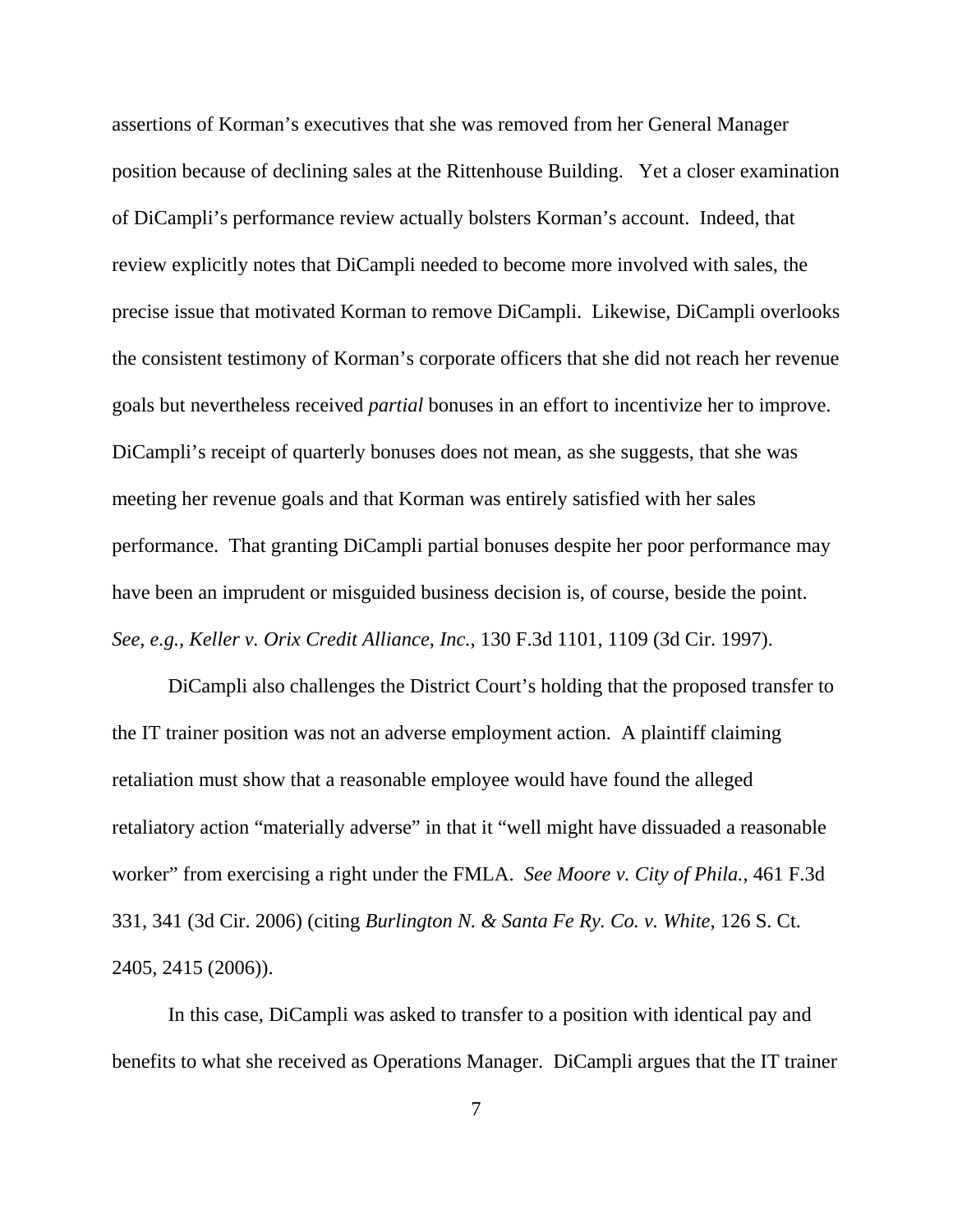assertions of Korman's executives that she was removed from her General Manager position because of declining sales at the Rittenhouse Building. Yet a closer examination of DiCampli's performance review actually bolsters Korman's account. Indeed, that review explicitly notes that DiCampli needed to become more involved with sales, the precise issue that motivated Korman to remove DiCampli. Likewise, DiCampli overlooks the consistent testimony of Korman's corporate officers that she did not reach her revenue goals but nevertheless received *partial* bonuses in an effort to incentivize her to improve. DiCampli's receipt of quarterly bonuses does not mean, as she suggests, that she was meeting her revenue goals and that Korman was entirely satisfied with her sales performance. That granting DiCampli partial bonuses despite her poor performance may have been an imprudent or misguided business decision is, of course, beside the point. *See, e.g., Keller v. Orix Credit Alliance, Inc.*, 130 F.3d 1101, 1109 (3d Cir. 1997).

DiCampli also challenges the District Court's holding that the proposed transfer to the IT trainer position was not an adverse employment action. A plaintiff claiming retaliation must show that a reasonable employee would have found the alleged retaliatory action "materially adverse" in that it "well might have dissuaded a reasonable worker" from exercising a right under the FMLA. *See Moore v. City of Phila.*, 461 F.3d 331, 341 (3d Cir. 2006) (citing *Burlington N. & Santa Fe Ry. Co. v. White*, 126 S. Ct. 2405, 2415 (2006)).

In this case, DiCampli was asked to transfer to a position with identical pay and benefits to what she received as Operations Manager. DiCampli argues that the IT trainer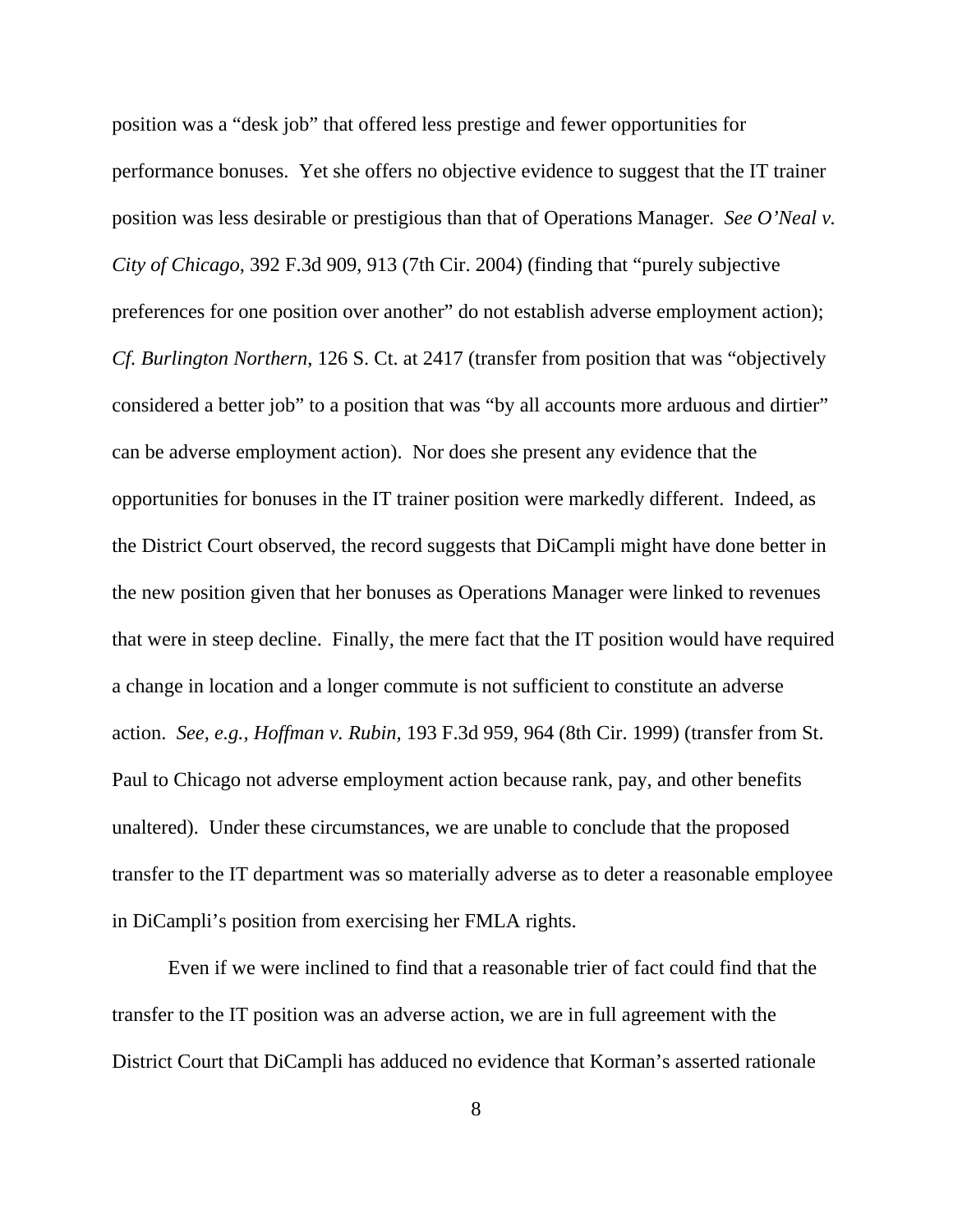position was a "desk job" that offered less prestige and fewer opportunities for performance bonuses. Yet she offers no objective evidence to suggest that the IT trainer position was less desirable or prestigious than that of Operations Manager. *See O'Neal v. City of Chicago*, 392 F.3d 909, 913 (7th Cir. 2004) (finding that "purely subjective preferences for one position over another" do not establish adverse employment action); *Cf. Burlington Northern*, 126 S. Ct. at 2417 (transfer from position that was "objectively considered a better job" to a position that was "by all accounts more arduous and dirtier" can be adverse employment action). Nor does she present any evidence that the opportunities for bonuses in the IT trainer position were markedly different. Indeed, as the District Court observed, the record suggests that DiCampli might have done better in the new position given that her bonuses as Operations Manager were linked to revenues that were in steep decline. Finally, the mere fact that the IT position would have required a change in location and a longer commute is not sufficient to constitute an adverse action. *See, e.g., Hoffman v. Rubin,* 193 F.3d 959, 964 (8th Cir. 1999) (transfer from St. Paul to Chicago not adverse employment action because rank, pay, and other benefits unaltered). Under these circumstances, we are unable to conclude that the proposed transfer to the IT department was so materially adverse as to deter a reasonable employee in DiCampli's position from exercising her FMLA rights.

Even if we were inclined to find that a reasonable trier of fact could find that the transfer to the IT position was an adverse action, we are in full agreement with the District Court that DiCampli has adduced no evidence that Korman's asserted rationale